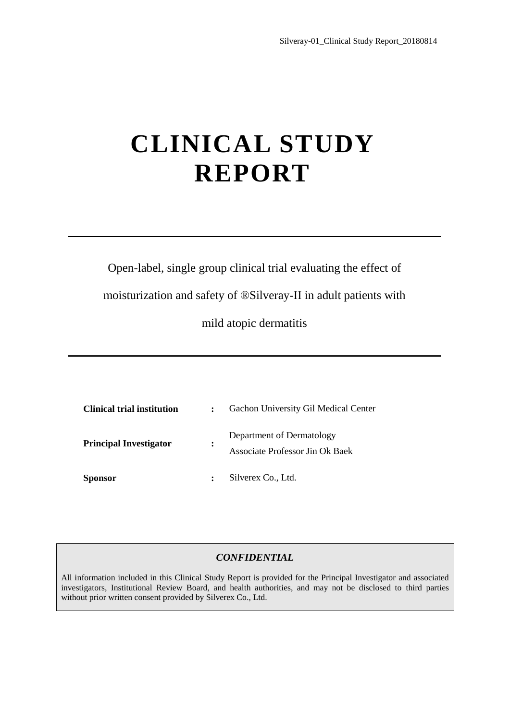## **CLINICAL STUDY REPORT**

Open-label, single group clinical trial evaluating the effect of

moisturization and safety of ® Silveray-II in adult patients with

mild atopic dermatitis

| <b>Clinical trial institution</b> |                | Gachon University Gil Medical Center                         |
|-----------------------------------|----------------|--------------------------------------------------------------|
| <b>Principal Investigator</b>     | $\ddot{\cdot}$ | Department of Dermatology<br>Associate Professor Jin Ok Baek |
| <b>Sponsor</b>                    |                | Silverex Co., Ltd.                                           |

## *CONFIDENTIAL*

All information included in this Clinical Study Report is provided for the Principal Investigator and associated investigators, Institutional Review Board, and health authorities, and may not be disclosed to third parties without prior written consent provided by Silverex Co., Ltd.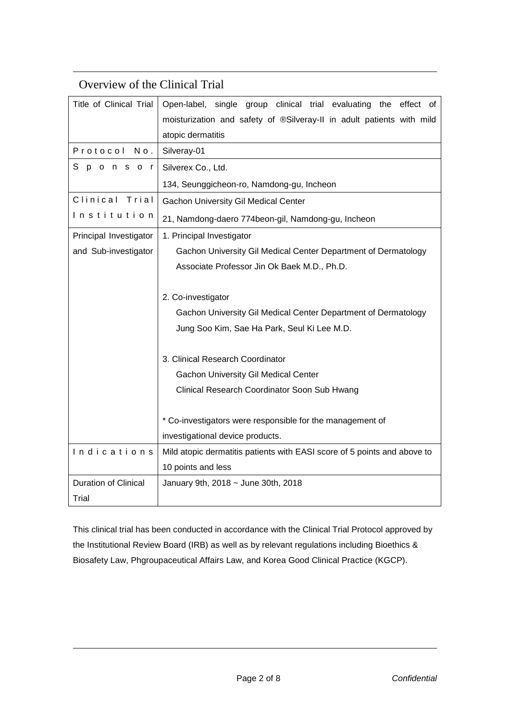| Overview of the Clinical Trial |                                                                          |
|--------------------------------|--------------------------------------------------------------------------|
| Title of Clinical Trial        | Open-label, single group clinical trial evaluating the<br>effect of      |
|                                | moisturization and safety of ®Silveray-II in adult patients with mild    |
|                                | atopic dermatitis                                                        |
| Protocol<br>No.                | Silveray-01                                                              |
| Sponsor                        | Silverex Co., Ltd.                                                       |
|                                | 134, Seunggicheon-ro, Namdong-gu, Incheon                                |
| Clinical Trial                 | <b>Gachon University Gil Medical Center</b>                              |
| Institution                    | 21, Namdong-daero 774beon-gil, Namdong-gu, Incheon                       |
| Principal Investigator         | 1. Principal Investigator                                                |
| and Sub-investigator           | Gachon University Gil Medical Center Department of Dermatology           |
|                                | Associate Professor Jin Ok Baek M.D., Ph.D.                              |
|                                |                                                                          |
|                                | 2. Co-investigator                                                       |
|                                | Gachon University Gil Medical Center Department of Dermatology           |
|                                | Jung Soo Kim, Sae Ha Park, Seul Ki Lee M.D.                              |
|                                |                                                                          |
|                                | 3. Clinical Research Coordinator                                         |
|                                | <b>Gachon University Gil Medical Center</b>                              |
|                                | Clinical Research Coordinator Soon Sub Hwang                             |
|                                |                                                                          |
|                                | * Co-investigators were responsible for the management of                |
|                                | investigational device products.                                         |
| Indications                    | Mild atopic dermatitis patients with EASI score of 5 points and above to |
|                                | 10 points and less                                                       |
| Duration of Clinical           | January 9th, 2018 ~ June 30th, 2018                                      |
| Trial                          |                                                                          |

This clinical trial has been conducted in accordance with the Clinical Trial Protocol approved by the Institutional Review Board (IRB) as well as by relevant regulations including Bioethics & Biosafety Law, Phgroupaceutical Affairs Law, and Korea Good Clinical Practice (KGCP).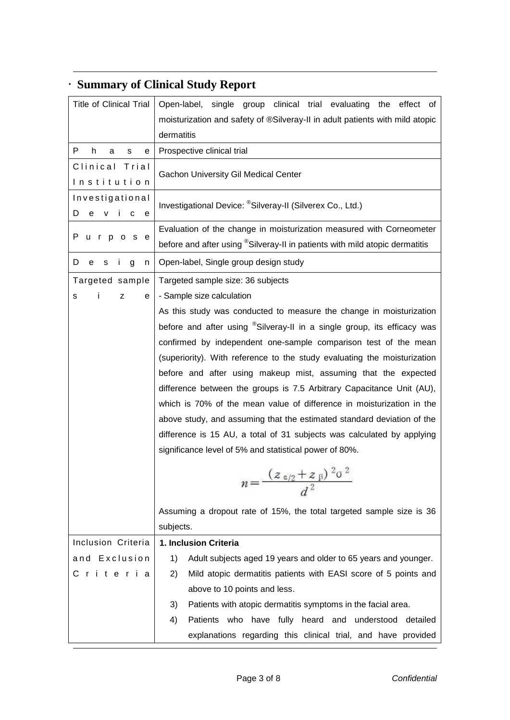| <b>Title of Clinical Trial</b>             | Open-label, single group clinical trial evaluating<br>the<br>effect of<br>moisturization and safety of ®Silveray-II in adult patients with mild atopic<br>dermatitis                                                                                                                                                                                                                                                                                                                                                                                                                                                                                                                                                                                                                                                                                                           |
|--------------------------------------------|--------------------------------------------------------------------------------------------------------------------------------------------------------------------------------------------------------------------------------------------------------------------------------------------------------------------------------------------------------------------------------------------------------------------------------------------------------------------------------------------------------------------------------------------------------------------------------------------------------------------------------------------------------------------------------------------------------------------------------------------------------------------------------------------------------------------------------------------------------------------------------|
| P.<br>h.<br>a<br>s<br>е                    | Prospective clinical trial                                                                                                                                                                                                                                                                                                                                                                                                                                                                                                                                                                                                                                                                                                                                                                                                                                                     |
| Clinical Trial<br>Institution              | Gachon University Gil Medical Center                                                                                                                                                                                                                                                                                                                                                                                                                                                                                                                                                                                                                                                                                                                                                                                                                                           |
| Investigational<br>V<br>i c<br>D<br>е<br>е | Investigational Device: ®Silveray-II (Silverex Co., Ltd.)                                                                                                                                                                                                                                                                                                                                                                                                                                                                                                                                                                                                                                                                                                                                                                                                                      |
| P<br>urpos<br>e                            | Evaluation of the change in moisturization measured with Corneometer<br>before and after using <sup>®</sup> Silveray-II in patients with mild atopic dermatitis                                                                                                                                                                                                                                                                                                                                                                                                                                                                                                                                                                                                                                                                                                                |
| D<br>е<br>Ť<br>g<br>s<br>n                 | Open-label, Single group design study                                                                                                                                                                                                                                                                                                                                                                                                                                                                                                                                                                                                                                                                                                                                                                                                                                          |
| Targeted sample<br>Ť<br>z<br>s<br>е        | Targeted sample size: 36 subjects<br>- Sample size calculation<br>As this study was conducted to measure the change in moisturization<br>before and after using <sup>®</sup> Silveray-II in a single group, its efficacy was<br>confirmed by independent one-sample comparison test of the mean<br>(superiority). With reference to the study evaluating the moisturization<br>before and after using makeup mist, assuming that the expected<br>difference between the groups is 7.5 Arbitrary Capacitance Unit (AU),<br>which is 70% of the mean value of difference in moisturization in the<br>above study, and assuming that the estimated standard deviation of the<br>difference is 15 AU, a total of 31 subjects was calculated by applying<br>significance level of 5% and statistical power of 80%.<br>$n = \frac{(z_{\alpha/2} + z_{\beta})^{2} \sigma^{2}}{d^{2}}$ |
|                                            |                                                                                                                                                                                                                                                                                                                                                                                                                                                                                                                                                                                                                                                                                                                                                                                                                                                                                |
|                                            | Assuming a dropout rate of 15%, the total targeted sample size is 36                                                                                                                                                                                                                                                                                                                                                                                                                                                                                                                                                                                                                                                                                                                                                                                                           |
|                                            | subjects.                                                                                                                                                                                                                                                                                                                                                                                                                                                                                                                                                                                                                                                                                                                                                                                                                                                                      |
| Inclusion Criteria                         | 1. Inclusion Criteria                                                                                                                                                                                                                                                                                                                                                                                                                                                                                                                                                                                                                                                                                                                                                                                                                                                          |
| and Exclusion                              | 1)<br>Adult subjects aged 19 years and older to 65 years and younger.                                                                                                                                                                                                                                                                                                                                                                                                                                                                                                                                                                                                                                                                                                                                                                                                          |
| Criteria                                   | Mild atopic dermatitis patients with EASI score of 5 points and<br>2)                                                                                                                                                                                                                                                                                                                                                                                                                                                                                                                                                                                                                                                                                                                                                                                                          |
|                                            | above to 10 points and less.                                                                                                                                                                                                                                                                                                                                                                                                                                                                                                                                                                                                                                                                                                                                                                                                                                                   |
|                                            | Patients with atopic dermatitis symptoms in the facial area.<br>3)                                                                                                                                                                                                                                                                                                                                                                                                                                                                                                                                                                                                                                                                                                                                                                                                             |
|                                            | Patients who have fully heard and understood detailed<br>4)                                                                                                                                                                                                                                                                                                                                                                                                                                                                                                                                                                                                                                                                                                                                                                                                                    |
|                                            | explanations regarding this clinical trial, and have provided                                                                                                                                                                                                                                                                                                                                                                                                                                                                                                                                                                                                                                                                                                                                                                                                                  |

## **Summary of Clinical Study Report**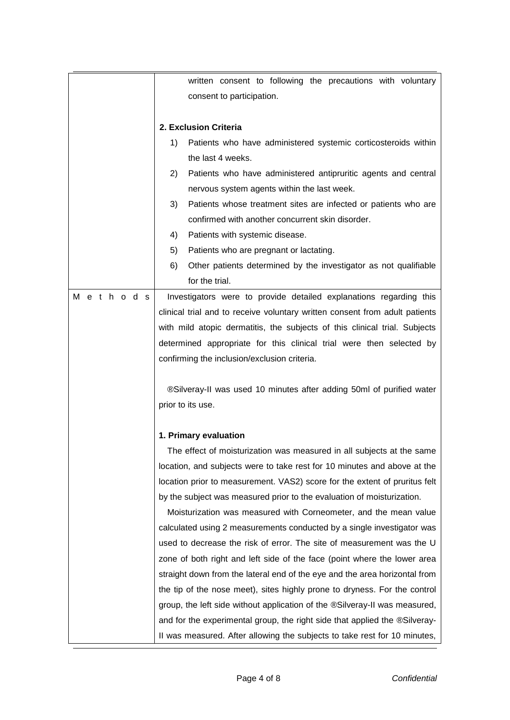|         | written consent to following the precautions with voluntary                 |
|---------|-----------------------------------------------------------------------------|
|         | consent to participation.                                                   |
|         |                                                                             |
|         | 2. Exclusion Criteria                                                       |
|         | Patients who have administered systemic corticosteroids within<br>1)        |
|         | the last 4 weeks.                                                           |
|         | Patients who have administered antipruritic agents and central<br>2)        |
|         | nervous system agents within the last week.                                 |
|         | 3)<br>Patients whose treatment sites are infected or patients who are       |
|         | confirmed with another concurrent skin disorder.                            |
|         | Patients with systemic disease.<br>4)                                       |
|         | Patients who are pregnant or lactating.<br>5)                               |
|         | Other patients determined by the investigator as not qualifiable<br>6)      |
|         | for the trial.                                                              |
| Methods | Investigators were to provide detailed explanations regarding this          |
|         | clinical trial and to receive voluntary written consent from adult patients |
|         | with mild atopic dermatitis, the subjects of this clinical trial. Subjects  |
|         | determined appropriate for this clinical trial were then selected by        |
|         | confirming the inclusion/exclusion criteria.                                |
|         |                                                                             |
|         | ®Silveray-II was used 10 minutes after adding 50ml of purified water        |
|         | prior to its use.                                                           |
|         |                                                                             |
|         | 1. Primary evaluation                                                       |
|         | The effect of moisturization was measured in all subjects at the same       |
|         | location, and subjects were to take rest for 10 minutes and above at the    |
|         | location prior to measurement. VAS2) score for the extent of pruritus felt  |
|         | by the subject was measured prior to the evaluation of moisturization.      |
|         | Moisturization was measured with Corneometer, and the mean value            |
|         | calculated using 2 measurements conducted by a single investigator was      |
|         | used to decrease the risk of error. The site of measurement was the U       |
|         | zone of both right and left side of the face (point where the lower area    |
|         | straight down from the lateral end of the eye and the area horizontal from  |
|         | the tip of the nose meet), sites highly prone to dryness. For the control   |
|         | group, the left side without application of the ®Silveray-II was measured,  |
|         | and for the experimental group, the right side that applied the ®Silveray-  |
|         | II was measured. After allowing the subjects to take rest for 10 minutes,   |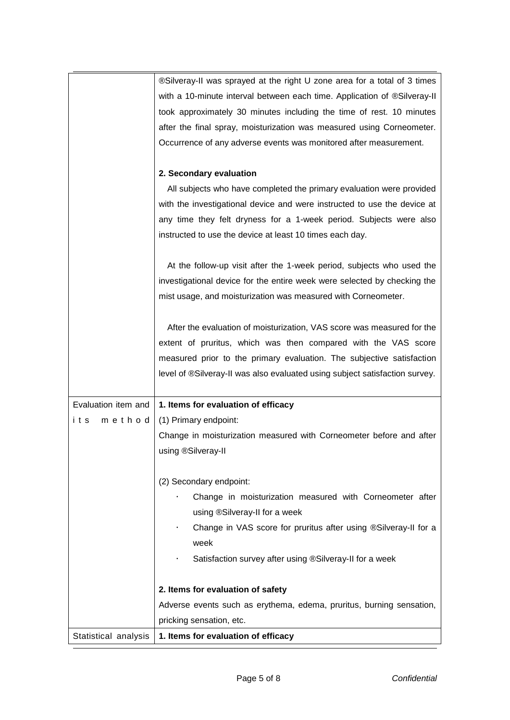|                      | ®Silveray-II was sprayed at the right U zone area for a total of 3 times    |
|----------------------|-----------------------------------------------------------------------------|
|                      | with a 10-minute interval between each time. Application of ®Silveray-II    |
|                      | took approximately 30 minutes including the time of rest. 10 minutes        |
|                      | after the final spray, moisturization was measured using Corneometer.       |
|                      | Occurrence of any adverse events was monitored after measurement.           |
|                      |                                                                             |
|                      | 2. Secondary evaluation                                                     |
|                      | All subjects who have completed the primary evaluation were provided        |
|                      | with the investigational device and were instructed to use the device at    |
|                      | any time they felt dryness for a 1-week period. Subjects were also          |
|                      | instructed to use the device at least 10 times each day.                    |
|                      |                                                                             |
|                      | At the follow-up visit after the 1-week period, subjects who used the       |
|                      | investigational device for the entire week were selected by checking the    |
|                      | mist usage, and moisturization was measured with Corneometer.               |
|                      |                                                                             |
|                      | After the evaluation of moisturization, VAS score was measured for the      |
|                      | extent of pruritus, which was then compared with the VAS score              |
|                      | measured prior to the primary evaluation. The subjective satisfaction       |
|                      | level of ®Silveray-II was also evaluated using subject satisfaction survey. |
|                      |                                                                             |
| Evaluation item and  | 1. Items for evaluation of efficacy                                         |
| method<br>its        | (1) Primary endpoint:                                                       |
|                      | Change in moisturization measured with Corneometer before and after         |
|                      | using ®Silveray-II                                                          |
|                      |                                                                             |
|                      | (2) Secondary endpoint:                                                     |
|                      | Change in moisturization measured with Corneometer after                    |
|                      | using ®Silveray-II for a week                                               |
|                      | Change in VAS score for pruritus after using ®Silveray-II for a             |
|                      | week                                                                        |
|                      | Satisfaction survey after using ®Silveray-II for a week                     |
|                      |                                                                             |
|                      | 2. Items for evaluation of safety                                           |
|                      | Adverse events such as erythema, edema, pruritus, burning sensation,        |
|                      | pricking sensation, etc.                                                    |
| Statistical analysis | 1. Items for evaluation of efficacy                                         |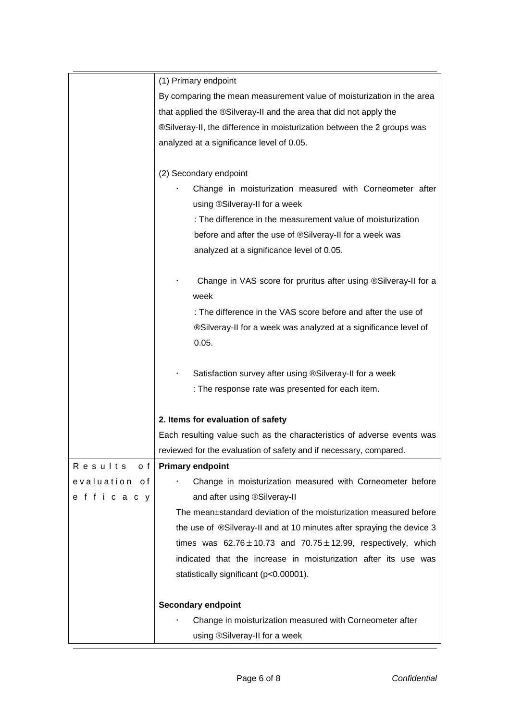|                 | (1) Primary endpoint                                                    |
|-----------------|-------------------------------------------------------------------------|
|                 | By comparing the mean measurement value of moisturization in the area   |
|                 | that applied the ®Silveray-II and the area that did not apply the       |
|                 | ®Silveray-II, the difference in moisturization between the 2 groups was |
|                 | analyzed at a significance level of 0.05.                               |
|                 |                                                                         |
|                 | (2) Secondary endpoint                                                  |
|                 | Change in moisturization measured with Corneometer after                |
|                 | using ®Silveray-II for a week                                           |
|                 | : The difference in the measurement value of moisturization             |
|                 | before and after the use of ®Silveray-II for a week was                 |
|                 | analyzed at a significance level of 0.05.                               |
|                 |                                                                         |
|                 | Change in VAS score for pruritus after using ®Silveray-II for a         |
|                 | week                                                                    |
|                 | : The difference in the VAS score before and after the use of           |
|                 | ®Silveray-II for a week was analyzed at a significance level of         |
|                 | 0.05.                                                                   |
|                 |                                                                         |
|                 | Satisfaction survey after using ®Silveray-II for a week                 |
|                 | : The response rate was presented for each item.                        |
|                 |                                                                         |
|                 | 2. Items for evaluation of safety                                       |
|                 | Each resulting value such as the characteristics of adverse events was  |
|                 | reviewed for the evaluation of safety and if necessary, compared.       |
| o f<br>Results  | <b>Primary endpoint</b>                                                 |
| evaluation of   | Change in moisturization measured with Corneometer before               |
| e f f i c a c y | and after using ®Silveray-II                                            |
|                 | The mean±standard deviation of the moisturization measured before       |
|                 | the use of ®Silveray-II and at 10 minutes after spraying the device 3   |
|                 | times was $62.76 \pm 10.73$ and $70.75 \pm 12.99$ , respectively, which |
|                 | indicated that the increase in moisturization after its use was         |
|                 | statistically significant (p<0.00001).                                  |
|                 |                                                                         |
|                 | <b>Secondary endpoint</b>                                               |
|                 | Change in moisturization measured with Corneometer after                |
|                 | using ®Silveray-II for a week                                           |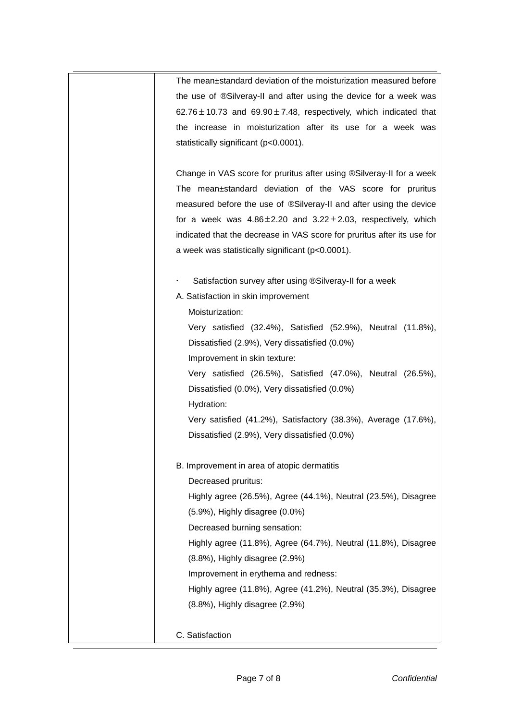| The mean±standard deviation of the moisturization measured before<br>the use of ®Silveray-II and after using the device for a week was<br>$62.76 \pm 10.73$ and $69.90 \pm 7.48$ , respectively, which indicated that<br>the increase in moisturization after its use for a week was<br>statistically significant (p<0.0001).<br>Change in VAS score for pruritus after using ®Silveray-II for a week<br>The mean±standard deviation of the VAS score for pruritus<br>measured before the use of ®Silveray-II and after using the device<br>for a week was $4.86 \pm 2.20$ and $3.22 \pm 2.03$ , respectively, which<br>indicated that the decrease in VAS score for pruritus after its use for<br>a week was statistically significant (p<0.0001).<br>Satisfaction survey after using ®Silveray-II for a week<br>A. Satisfaction in skin improvement<br>Moisturization:<br>Very satisfied (32.4%), Satisfied (52.9%), Neutral (11.8%),<br>Dissatisfied (2.9%), Very dissatisfied (0.0%)<br>Improvement in skin texture:<br>Very satisfied (26.5%), Satisfied (47.0%), Neutral (26.5%),<br>Dissatisfied (0.0%), Very dissatisfied (0.0%)<br>Hydration:<br>Very satisfied (41.2%), Satisfactory (38.3%), Average (17.6%),<br>Dissatisfied (2.9%), Very dissatisfied (0.0%)<br>B. Improvement in area of atopic dermatitis<br>Decreased pruritus:<br>Highly agree (26.5%), Agree (44.1%), Neutral (23.5%), Disagree<br>$(5.9\%)$ , Highly disagree $(0.0\%)$<br>Decreased burning sensation:<br>Highly agree (11.8%), Agree (64.7%), Neutral (11.8%), Disagree<br>(8.8%), Highly disagree (2.9%)<br>Improvement in erythema and redness: |                                                                |
|----------------------------------------------------------------------------------------------------------------------------------------------------------------------------------------------------------------------------------------------------------------------------------------------------------------------------------------------------------------------------------------------------------------------------------------------------------------------------------------------------------------------------------------------------------------------------------------------------------------------------------------------------------------------------------------------------------------------------------------------------------------------------------------------------------------------------------------------------------------------------------------------------------------------------------------------------------------------------------------------------------------------------------------------------------------------------------------------------------------------------------------------------------------------------------------------------------------------------------------------------------------------------------------------------------------------------------------------------------------------------------------------------------------------------------------------------------------------------------------------------------------------------------------------------------------------------------------------------------------------------------------|----------------------------------------------------------------|
|                                                                                                                                                                                                                                                                                                                                                                                                                                                                                                                                                                                                                                                                                                                                                                                                                                                                                                                                                                                                                                                                                                                                                                                                                                                                                                                                                                                                                                                                                                                                                                                                                                        |                                                                |
|                                                                                                                                                                                                                                                                                                                                                                                                                                                                                                                                                                                                                                                                                                                                                                                                                                                                                                                                                                                                                                                                                                                                                                                                                                                                                                                                                                                                                                                                                                                                                                                                                                        |                                                                |
|                                                                                                                                                                                                                                                                                                                                                                                                                                                                                                                                                                                                                                                                                                                                                                                                                                                                                                                                                                                                                                                                                                                                                                                                                                                                                                                                                                                                                                                                                                                                                                                                                                        |                                                                |
|                                                                                                                                                                                                                                                                                                                                                                                                                                                                                                                                                                                                                                                                                                                                                                                                                                                                                                                                                                                                                                                                                                                                                                                                                                                                                                                                                                                                                                                                                                                                                                                                                                        |                                                                |
|                                                                                                                                                                                                                                                                                                                                                                                                                                                                                                                                                                                                                                                                                                                                                                                                                                                                                                                                                                                                                                                                                                                                                                                                                                                                                                                                                                                                                                                                                                                                                                                                                                        |                                                                |
|                                                                                                                                                                                                                                                                                                                                                                                                                                                                                                                                                                                                                                                                                                                                                                                                                                                                                                                                                                                                                                                                                                                                                                                                                                                                                                                                                                                                                                                                                                                                                                                                                                        |                                                                |
|                                                                                                                                                                                                                                                                                                                                                                                                                                                                                                                                                                                                                                                                                                                                                                                                                                                                                                                                                                                                                                                                                                                                                                                                                                                                                                                                                                                                                                                                                                                                                                                                                                        |                                                                |
|                                                                                                                                                                                                                                                                                                                                                                                                                                                                                                                                                                                                                                                                                                                                                                                                                                                                                                                                                                                                                                                                                                                                                                                                                                                                                                                                                                                                                                                                                                                                                                                                                                        |                                                                |
|                                                                                                                                                                                                                                                                                                                                                                                                                                                                                                                                                                                                                                                                                                                                                                                                                                                                                                                                                                                                                                                                                                                                                                                                                                                                                                                                                                                                                                                                                                                                                                                                                                        |                                                                |
|                                                                                                                                                                                                                                                                                                                                                                                                                                                                                                                                                                                                                                                                                                                                                                                                                                                                                                                                                                                                                                                                                                                                                                                                                                                                                                                                                                                                                                                                                                                                                                                                                                        |                                                                |
|                                                                                                                                                                                                                                                                                                                                                                                                                                                                                                                                                                                                                                                                                                                                                                                                                                                                                                                                                                                                                                                                                                                                                                                                                                                                                                                                                                                                                                                                                                                                                                                                                                        |                                                                |
|                                                                                                                                                                                                                                                                                                                                                                                                                                                                                                                                                                                                                                                                                                                                                                                                                                                                                                                                                                                                                                                                                                                                                                                                                                                                                                                                                                                                                                                                                                                                                                                                                                        |                                                                |
|                                                                                                                                                                                                                                                                                                                                                                                                                                                                                                                                                                                                                                                                                                                                                                                                                                                                                                                                                                                                                                                                                                                                                                                                                                                                                                                                                                                                                                                                                                                                                                                                                                        |                                                                |
|                                                                                                                                                                                                                                                                                                                                                                                                                                                                                                                                                                                                                                                                                                                                                                                                                                                                                                                                                                                                                                                                                                                                                                                                                                                                                                                                                                                                                                                                                                                                                                                                                                        |                                                                |
|                                                                                                                                                                                                                                                                                                                                                                                                                                                                                                                                                                                                                                                                                                                                                                                                                                                                                                                                                                                                                                                                                                                                                                                                                                                                                                                                                                                                                                                                                                                                                                                                                                        |                                                                |
|                                                                                                                                                                                                                                                                                                                                                                                                                                                                                                                                                                                                                                                                                                                                                                                                                                                                                                                                                                                                                                                                                                                                                                                                                                                                                                                                                                                                                                                                                                                                                                                                                                        |                                                                |
|                                                                                                                                                                                                                                                                                                                                                                                                                                                                                                                                                                                                                                                                                                                                                                                                                                                                                                                                                                                                                                                                                                                                                                                                                                                                                                                                                                                                                                                                                                                                                                                                                                        |                                                                |
|                                                                                                                                                                                                                                                                                                                                                                                                                                                                                                                                                                                                                                                                                                                                                                                                                                                                                                                                                                                                                                                                                                                                                                                                                                                                                                                                                                                                                                                                                                                                                                                                                                        |                                                                |
|                                                                                                                                                                                                                                                                                                                                                                                                                                                                                                                                                                                                                                                                                                                                                                                                                                                                                                                                                                                                                                                                                                                                                                                                                                                                                                                                                                                                                                                                                                                                                                                                                                        |                                                                |
|                                                                                                                                                                                                                                                                                                                                                                                                                                                                                                                                                                                                                                                                                                                                                                                                                                                                                                                                                                                                                                                                                                                                                                                                                                                                                                                                                                                                                                                                                                                                                                                                                                        |                                                                |
|                                                                                                                                                                                                                                                                                                                                                                                                                                                                                                                                                                                                                                                                                                                                                                                                                                                                                                                                                                                                                                                                                                                                                                                                                                                                                                                                                                                                                                                                                                                                                                                                                                        |                                                                |
|                                                                                                                                                                                                                                                                                                                                                                                                                                                                                                                                                                                                                                                                                                                                                                                                                                                                                                                                                                                                                                                                                                                                                                                                                                                                                                                                                                                                                                                                                                                                                                                                                                        |                                                                |
|                                                                                                                                                                                                                                                                                                                                                                                                                                                                                                                                                                                                                                                                                                                                                                                                                                                                                                                                                                                                                                                                                                                                                                                                                                                                                                                                                                                                                                                                                                                                                                                                                                        |                                                                |
|                                                                                                                                                                                                                                                                                                                                                                                                                                                                                                                                                                                                                                                                                                                                                                                                                                                                                                                                                                                                                                                                                                                                                                                                                                                                                                                                                                                                                                                                                                                                                                                                                                        |                                                                |
|                                                                                                                                                                                                                                                                                                                                                                                                                                                                                                                                                                                                                                                                                                                                                                                                                                                                                                                                                                                                                                                                                                                                                                                                                                                                                                                                                                                                                                                                                                                                                                                                                                        |                                                                |
|                                                                                                                                                                                                                                                                                                                                                                                                                                                                                                                                                                                                                                                                                                                                                                                                                                                                                                                                                                                                                                                                                                                                                                                                                                                                                                                                                                                                                                                                                                                                                                                                                                        |                                                                |
|                                                                                                                                                                                                                                                                                                                                                                                                                                                                                                                                                                                                                                                                                                                                                                                                                                                                                                                                                                                                                                                                                                                                                                                                                                                                                                                                                                                                                                                                                                                                                                                                                                        |                                                                |
|                                                                                                                                                                                                                                                                                                                                                                                                                                                                                                                                                                                                                                                                                                                                                                                                                                                                                                                                                                                                                                                                                                                                                                                                                                                                                                                                                                                                                                                                                                                                                                                                                                        |                                                                |
|                                                                                                                                                                                                                                                                                                                                                                                                                                                                                                                                                                                                                                                                                                                                                                                                                                                                                                                                                                                                                                                                                                                                                                                                                                                                                                                                                                                                                                                                                                                                                                                                                                        |                                                                |
|                                                                                                                                                                                                                                                                                                                                                                                                                                                                                                                                                                                                                                                                                                                                                                                                                                                                                                                                                                                                                                                                                                                                                                                                                                                                                                                                                                                                                                                                                                                                                                                                                                        |                                                                |
|                                                                                                                                                                                                                                                                                                                                                                                                                                                                                                                                                                                                                                                                                                                                                                                                                                                                                                                                                                                                                                                                                                                                                                                                                                                                                                                                                                                                                                                                                                                                                                                                                                        |                                                                |
|                                                                                                                                                                                                                                                                                                                                                                                                                                                                                                                                                                                                                                                                                                                                                                                                                                                                                                                                                                                                                                                                                                                                                                                                                                                                                                                                                                                                                                                                                                                                                                                                                                        |                                                                |
|                                                                                                                                                                                                                                                                                                                                                                                                                                                                                                                                                                                                                                                                                                                                                                                                                                                                                                                                                                                                                                                                                                                                                                                                                                                                                                                                                                                                                                                                                                                                                                                                                                        |                                                                |
|                                                                                                                                                                                                                                                                                                                                                                                                                                                                                                                                                                                                                                                                                                                                                                                                                                                                                                                                                                                                                                                                                                                                                                                                                                                                                                                                                                                                                                                                                                                                                                                                                                        | Highly agree (11.8%), Agree (41.2%), Neutral (35.3%), Disagree |
| (8.8%), Highly disagree (2.9%)                                                                                                                                                                                                                                                                                                                                                                                                                                                                                                                                                                                                                                                                                                                                                                                                                                                                                                                                                                                                                                                                                                                                                                                                                                                                                                                                                                                                                                                                                                                                                                                                         |                                                                |
|                                                                                                                                                                                                                                                                                                                                                                                                                                                                                                                                                                                                                                                                                                                                                                                                                                                                                                                                                                                                                                                                                                                                                                                                                                                                                                                                                                                                                                                                                                                                                                                                                                        |                                                                |
| C. Satisfaction                                                                                                                                                                                                                                                                                                                                                                                                                                                                                                                                                                                                                                                                                                                                                                                                                                                                                                                                                                                                                                                                                                                                                                                                                                                                                                                                                                                                                                                                                                                                                                                                                        |                                                                |